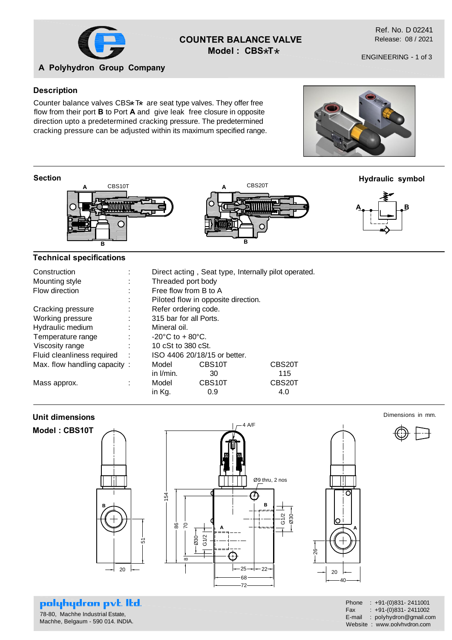

# **COUNTER BALANCE VALVE** Model: CBS\*T\*

Ref. No. D 02241 Release: 08 / 2021

## **A Polyhydron Group Company**

#### **Description**

Counter balance valves  $CBS^*T^*$  are seat type valves. They offer free<br>flow from their part **B** to Part A and, give leak, free cleaves in appeairs flow from their port **B** to Port **A** and give leak free closure in opposite direction upto a predetermined cracking pressure. The predetermined cracking pressure can be adjusted within its maximum specified range.

#### **Section**



## **Technical specifications**

| Direct acting, Seat type, Internally pilot operated. |
|------------------------------------------------------|
|                                                      |
|                                                      |
|                                                      |
|                                                      |
|                                                      |
|                                                      |
|                                                      |
| CBS <sub>20</sub> T                                  |
|                                                      |
| CBS20T                                               |
|                                                      |
|                                                      |

## **Unit dimensions**



## polyhydron pvt. Itd. 78-80, Machhe Industrial Estate,

Machhe, Belgaum - 590 014. INDIA.

| Phone      | $: +91-(0)831 - 2411001$    |
|------------|-----------------------------|
| <b>Fax</b> | $: +91-(0)831 - 2411002$    |
| E-mail     | : polyhydron@gmail.com      |
|            | Website: www.polyhydron.com |



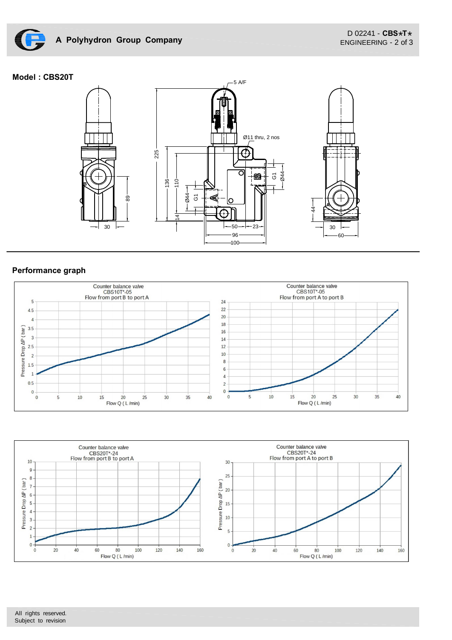

## **Model : CBS20T**



## **Performance graph**